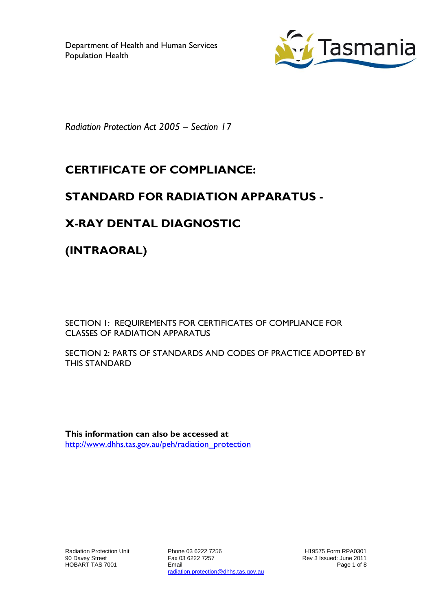

*Radiation Protection Act 2005 – Section 17*

# **CERTIFICATE OF COMPLIANCE:**

## **STANDARD FOR RADIATION APPARATUS -**

## **X-RAY DENTAL DIAGNOSTIC**

**(INTRAORAL)**

SECTION 1: REQUIREMENTS FOR CERTIFICATES OF COMPLIANCE FOR CLASSES OF RADIATION APPARATUS

SECTION 2: PARTS OF STANDARDS AND CODES OF PRACTICE ADOPTED BY THIS STANDARD

**This information can also be accessed at** [http://www.dhhs.tas.gov.au/peh/radiation\\_protection](http://www.dhhs.tas.gov.au/peh/radiation_protection)

Radiation Protection Unit 90 Davey Street HOBART TAS 7001

Phone 03 6222 7256 Fax 03 6222 7257 Email radiation.protection@dhhs.tas.gov.au

H19575 Form RPA0301 Rev 3 Issued: June 2011 Page 1 of 8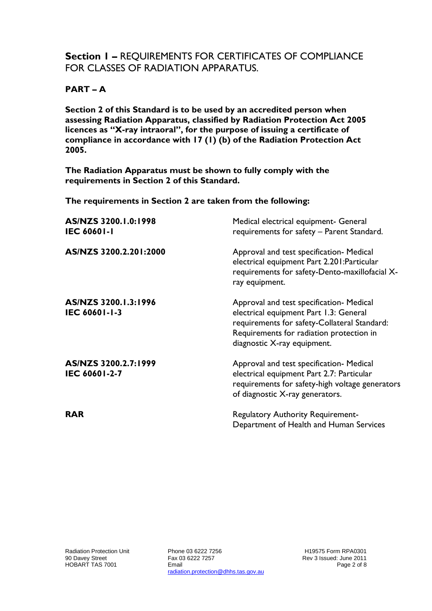### **Section 1 –** REQUIREMENTS FOR CERTIFICATES OF COMPLIANCE FOR CLASSES OF RADIATION APPARATUS.

#### **PART – A**

**Section 2 of this Standard is to be used by an accredited person when assessing Radiation Apparatus, classified by Radiation Protection Act 2005 licences as "X-ray intraoral", for the purpose of issuing a certificate of compliance in accordance with 17 (1) (b) of the Radiation Protection Act 2005.**

**The Radiation Apparatus must be shown to fully comply with the requirements in Section 2 of this Standard.**

**The requirements in Section 2 are taken from the following:**

| AS/NZS 3200.1.0:1998<br><b>IEC 60601-1</b> | Medical electrical equipment- General<br>requirements for safety - Parent Standard.                                                                                                                           |
|--------------------------------------------|---------------------------------------------------------------------------------------------------------------------------------------------------------------------------------------------------------------|
| AS/NZS 3200.2.201:2000                     | Approval and test specification- Medical<br>electrical equipment Part 2.201: Particular<br>requirements for safety-Dento-maxillofacial X-<br>ray equipment.                                                   |
| AS/NZS 3200.1.3:1996<br>IEC 60601-1-3      | Approval and test specification- Medical<br>electrical equipment Part 1.3: General<br>requirements for safety-Collateral Standard:<br>Requirements for radiation protection in<br>diagnostic X-ray equipment. |
| AS/NZS 3200.2.7:1999<br>IEC 60601-2-7      | Approval and test specification- Medical<br>electrical equipment Part 2.7: Particular<br>requirements for safety-high voltage generators<br>of diagnostic X-ray generators.                                   |
| <b>RAR</b>                                 | <b>Regulatory Authority Requirement-</b><br>Department of Health and Human Services                                                                                                                           |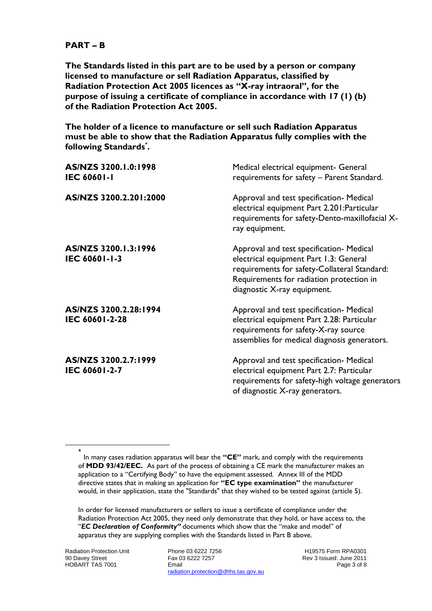#### **PART – B**

**The Standards listed in this part are to be used by a person or company licensed to manufacture or sell Radiation Apparatus, classified by Radiation Protection Act 2005 licences as "X-ray intraoral", for the purpose of issuing a certificate of compliance in accordance with 17 (1) (b) of the Radiation Protection Act 2005.**

**The holder of a licence to manufacture or sell such Radiation Apparatus must be able to show that the Radiation Apparatus fully complies with the following Standards\* .**

| AS/NZS 3200.1.0:1998<br><b>IEC 60601-1</b> | Medical electrical equipment- General<br>requirements for safety - Parent Standard.                                                                                                                           |
|--------------------------------------------|---------------------------------------------------------------------------------------------------------------------------------------------------------------------------------------------------------------|
| AS/NZS 3200.2.201:2000                     | Approval and test specification- Medical<br>electrical equipment Part 2.201: Particular<br>requirements for safety-Dento-maxillofacial X-<br>ray equipment.                                                   |
| AS/NZS 3200.1.3:1996<br>IEC 60601-1-3      | Approval and test specification- Medical<br>electrical equipment Part 1.3: General<br>requirements for safety-Collateral Standard:<br>Requirements for radiation protection in<br>diagnostic X-ray equipment. |
| AS/NZS 3200.2.28:1994<br>IEC 60601-2-28    | Approval and test specification- Medical<br>electrical equipment Part 2.28: Particular<br>requirements for safety-X-ray source<br>assemblies for medical diagnosis generators.                                |
| AS/NZS 3200.2.7:1999<br>IEC 60601-2-7      | Approval and test specification- Medical<br>electrical equipment Part 2.7: Particular<br>requirements for safety-high voltage generators<br>of diagnostic X-ray generators.                                   |

In order for licensed manufacturers or sellers to issue a certificate of compliance under the Radiation Protection Act 2005, they need only demonstrate that they hold, or have access to, the "EC Declaration of Conformity" documents which show that the "make and model" of apparatus they are supplying complies with the Standards listed in Part B above.

Radiation Protection Unit 90 Davey Street HOBART TAS 7001

l

Phone 03 6222 7256 Fax 03 6222 7257 Email radiation.protection@dhhs.tas.gov.au

H19575 Form RPA0301 Rev 3 Issued: June 2011 Page 3 of 8

<sup>\*</sup> In many cases radiation apparatus will bear the **"CE"** mark, and comply with the requirements of **MDD 93/42/EEC.** As part of the process of obtaining a CE mark the manufacturer makes an application to a "Certifying Body" to have the equipment assessed. Annex III of the MDD directive states that in making an application for **"EC type examination"** the manufacturer would, in their application, state the "Standards" that they wished to be tested against (article 5).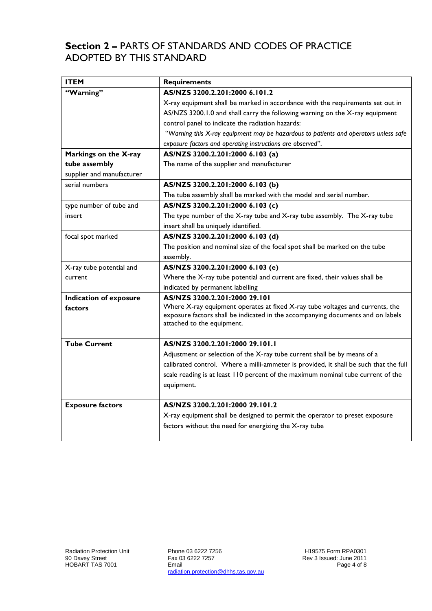### **Section 2 –** PARTS OF STANDARDS AND CODES OF PRACTICE ADOPTED BY THIS STANDARD

| <b>ITEM</b>                   | <b>Requirements</b>                                                                                                                                              |
|-------------------------------|------------------------------------------------------------------------------------------------------------------------------------------------------------------|
| "Warning"                     | AS/NZS 3200.2.201:2000 6.101.2                                                                                                                                   |
|                               | X-ray equipment shall be marked in accordance with the requirements set out in                                                                                   |
|                               | AS/NZS 3200.1.0 and shall carry the following warning on the X-ray equipment                                                                                     |
|                               | control panel to indicate the radiation hazards:                                                                                                                 |
|                               | "Warning this X-ray equipment may be hazardous to patients and operators unless safe                                                                             |
|                               | exposure factors and operating instructions are observed".                                                                                                       |
| Markings on the X-ray         | AS/NZS 3200.2.201:2000 6.103 (a)                                                                                                                                 |
| tube assembly                 | The name of the supplier and manufacturer                                                                                                                        |
| supplier and manufacturer     |                                                                                                                                                                  |
| serial numbers                | AS/NZS 3200.2.201:2000 6.103 (b)                                                                                                                                 |
|                               | The tube assembly shall be marked with the model and serial number.                                                                                              |
| type number of tube and       | AS/NZS 3200.2.201:2000 6.103 (c)                                                                                                                                 |
| insert                        | The type number of the X-ray tube and X-ray tube assembly. The X-ray tube                                                                                        |
|                               | insert shall be uniquely identified.                                                                                                                             |
| focal spot marked             | AS/NZS 3200.2.201:2000 6.103 (d)                                                                                                                                 |
|                               | The position and nominal size of the focal spot shall be marked on the tube                                                                                      |
|                               | assembly.                                                                                                                                                        |
| X-ray tube potential and      | AS/NZS 3200.2.201:2000 6.103 (e)                                                                                                                                 |
| current                       | Where the X-ray tube potential and current are fixed, their values shall be                                                                                      |
|                               | indicated by permanent labelling                                                                                                                                 |
| <b>Indication of exposure</b> | AS/NZS 3200.2.201:2000 29.101                                                                                                                                    |
| factors                       | Where X-ray equipment operates at fixed X-ray tube voltages and currents, the<br>exposure factors shall be indicated in the accompanying documents and on labels |
|                               | attached to the equipment.                                                                                                                                       |
|                               |                                                                                                                                                                  |
| <b>Tube Current</b>           | AS/NZS 3200.2.201:2000 29.101.1                                                                                                                                  |
|                               | Adjustment or selection of the X-ray tube current shall be by means of a                                                                                         |
|                               | calibrated control. Where a milli-ammeter is provided, it shall be such that the full                                                                            |
|                               | scale reading is at least 110 percent of the maximum nominal tube current of the                                                                                 |
|                               | equipment.                                                                                                                                                       |
|                               |                                                                                                                                                                  |
| <b>Exposure factors</b>       | AS/NZS 3200.2.201:2000 29.101.2                                                                                                                                  |
|                               | X-ray equipment shall be designed to permit the operator to preset exposure                                                                                      |
|                               | factors without the need for energizing the X-ray tube                                                                                                           |
|                               |                                                                                                                                                                  |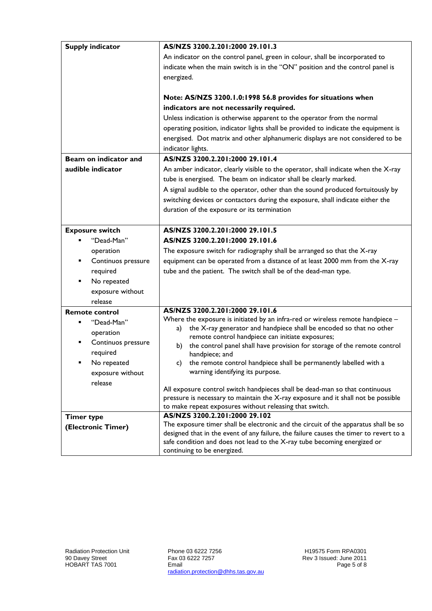| <b>Supply indicator</b> | AS/NZS 3200.2.201:2000 29.101.3                                                                                                                                               |
|-------------------------|-------------------------------------------------------------------------------------------------------------------------------------------------------------------------------|
|                         | An indicator on the control panel, green in colour, shall be incorporated to                                                                                                  |
|                         | indicate when the main switch is in the "ON" position and the control panel is                                                                                                |
|                         | energized.                                                                                                                                                                    |
|                         |                                                                                                                                                                               |
|                         | Note: AS/NZS 3200.1.0:1998 56.8 provides for situations when                                                                                                                  |
|                         | indicators are not necessarily required.                                                                                                                                      |
|                         | Unless indication is otherwise apparent to the operator from the normal                                                                                                       |
|                         | operating position, indicator lights shall be provided to indicate the equipment is                                                                                           |
|                         | energised. Dot matrix and other alphanumeric displays are not considered to be                                                                                                |
|                         | indicator lights.                                                                                                                                                             |
| Beam on indicator and   | AS/NZS 3200.2.201:2000 29.101.4                                                                                                                                               |
| audible indicator       | An amber indicator, clearly visible to the operator, shall indicate when the X-ray                                                                                            |
|                         | tube is energised. The beam on indicator shall be clearly marked.                                                                                                             |
|                         | A signal audible to the operator, other than the sound produced fortuitously by                                                                                               |
|                         | switching devices or contactors during the exposure, shall indicate either the                                                                                                |
|                         |                                                                                                                                                                               |
|                         | duration of the exposure or its termination                                                                                                                                   |
|                         | AS/NZS 3200.2.201:2000 29.101.5                                                                                                                                               |
| <b>Exposure switch</b>  |                                                                                                                                                                               |
| "Dead-Man"              | AS/NZS 3200.2.201:2000 29.101.6                                                                                                                                               |
| operation               | The exposure switch for radiography shall be arranged so that the X-ray                                                                                                       |
| Continuos pressure      | equipment can be operated from a distance of at least 2000 mm from the X-ray                                                                                                  |
| required                | tube and the patient. The switch shall be of the dead-man type.                                                                                                               |
| No repeated             |                                                                                                                                                                               |
| exposure without        |                                                                                                                                                                               |
| release                 |                                                                                                                                                                               |
| <b>Remote control</b>   | AS/NZS 3200.2.201:2000 29.101.6                                                                                                                                               |
| "Dead-Man"              | Where the exposure is initiated by an infra-red or wireless remote handpiece -                                                                                                |
| operation               | the X-ray generator and handpiece shall be encoded so that no other<br>a)                                                                                                     |
| Continuos pressure      | remote control handpiece can initiate exposures;<br>the control panel shall have provision for storage of the remote control<br>b)                                            |
| required                | handpiece; and                                                                                                                                                                |
| No repeated             | the remote control handpiece shall be permanently labelled with a<br>c)                                                                                                       |
| exposure without        | warning identifying its purpose.                                                                                                                                              |
| release                 |                                                                                                                                                                               |
|                         | All exposure control switch handpieces shall be dead-man so that continuous                                                                                                   |
|                         | pressure is necessary to maintain the X-ray exposure and it shall not be possible                                                                                             |
|                         | to make repeat exposures without releasing that switch.                                                                                                                       |
| <b>Timer type</b>       | AS/NZS 3200.2.201:2000 29.102                                                                                                                                                 |
| (Electronic Timer)      | The exposure timer shall be electronic and the circuit of the apparatus shall be so<br>designed that in the event of any failure, the failure causes the timer to revert to a |
|                         | safe condition and does not lead to the X-ray tube becoming energized or                                                                                                      |
|                         | continuing to be energized.                                                                                                                                                   |
|                         |                                                                                                                                                                               |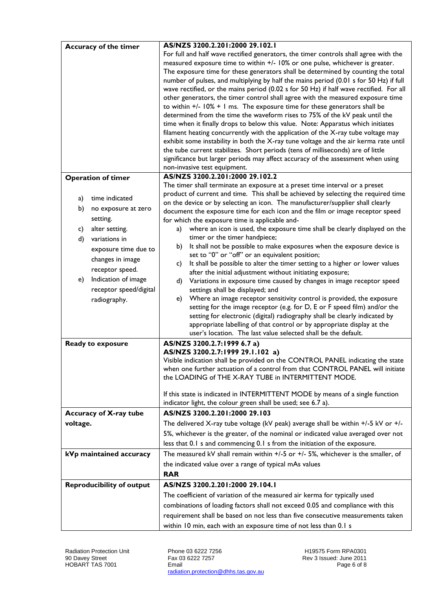|          | Accuracy of the timer            | AS/NZS 3200.2.201:2000 29.102.1                                                                                                      |
|----------|----------------------------------|--------------------------------------------------------------------------------------------------------------------------------------|
|          |                                  | For full and half wave rectified generators, the timer controls shall agree with the                                                 |
|          |                                  | measured exposure time to within +/- 10% or one pulse, whichever is greater.                                                         |
|          |                                  | The exposure time for these generators shall be determined by counting the total                                                     |
|          |                                  | number of pulses, and multiplying by half the mains period (0.01 s for 50 Hz) if full                                                |
|          |                                  | wave rectified, or the mains period (0.02 s for 50 Hz) if half wave rectified. For all                                               |
|          |                                  | other generators, the timer control shall agree with the measured exposure time                                                      |
|          |                                  | to within $+/-$ 10% $+$ 1 ms. The exposure time for these generators shall be                                                        |
|          |                                  | determined from the time the waveform rises to 75% of the kV peak until the                                                          |
|          |                                  | time when it finally drops to below this value. Note: Apparatus which initiates                                                      |
|          |                                  | filament heating concurrently with the application of the X-ray tube voltage may                                                     |
|          |                                  | exhibit some instability in both the X-ray tune voltage and the air kerma rate until                                                 |
|          |                                  | the tube current stabilizes. Short periods (tens of milliseconds) are of little                                                      |
|          |                                  | significance but larger periods may affect accuracy of the assessment when using                                                     |
|          |                                  | non-invasive test equipment.                                                                                                         |
|          | <b>Operation of timer</b>        | AS/NZS 3200.2.201:2000 29.102.2                                                                                                      |
|          |                                  | The timer shall terminate an exposure at a preset time interval or a preset                                                          |
| a)       | time indicated                   | product of current and time. This shall be achieved by selecting the required time                                                   |
|          |                                  | on the device or by selecting an icon. The manufacturer/supplier shall clearly                                                       |
| b)       | no exposure at zero              | document the exposure time for each icon and the film or image receptor speed                                                        |
|          | setting.                         | for which the exposure time is applicable and-                                                                                       |
| c)       | alter setting.                   | where an icon is used, the exposure time shall be clearly displayed on the<br>a)                                                     |
| d)       | variations in                    | timer or the timer handpiece;                                                                                                        |
|          | exposure time due to             | It shall not be possible to make exposures when the exposure device is<br>b).                                                        |
|          | changes in image                 | set to "0" or "off" or an equivalent position;                                                                                       |
|          |                                  | It shall be possible to alter the timer setting to a higher or lower values<br>c)                                                    |
|          | receptor speed.                  | after the initial adjustment without initiating exposure;                                                                            |
| e)       | Indication of image              | Variations in exposure time caused by changes in image receptor speed<br>d)                                                          |
|          | receptor speed/digital           | settings shall be displayed; and                                                                                                     |
|          | radiography.                     | Where an image receptor sensitivity control is provided, the exposure<br>e)                                                          |
|          |                                  | setting for the image receptor (e.g. for D, E or F speed film) and/or the                                                            |
|          |                                  | setting for electronic (digital) radiography shall be clearly indicated by                                                           |
|          |                                  | appropriate labelling of that control or by appropriate display at the                                                               |
|          |                                  | user's location. The last value selected shall be the default.                                                                       |
|          | Ready to exposure                | AS/NZS 3200.2.7:1999 6.7 a)                                                                                                          |
|          |                                  | AS/NZS 3200.2.7:1999 29.1.102 a)                                                                                                     |
|          |                                  | Visible indication shall be provided on the CONTROL PANEL indicating the state                                                       |
|          |                                  | when one further actuation of a control from that CONTROL PANEL will initiate<br>the LOADING of THE X-RAY TUBE in INTERMITTENT MODE. |
|          |                                  |                                                                                                                                      |
|          |                                  | If this state is indicated in INTERMITTENT MODE by means of a single function                                                        |
|          |                                  | indicator light, the colour green shall be used; see 6.7 a).                                                                         |
|          | Accuracy of X-ray tube           | AS/NZS 3200.2.201:2000 29.103                                                                                                        |
|          |                                  |                                                                                                                                      |
| voltage. |                                  | The delivered X-ray tube voltage (kV peak) average shall be within +/-5 kV or +/-                                                    |
|          |                                  | 5%, whichever is the greater, of the nominal or indicated value averaged over not                                                    |
|          |                                  | less that 0.1 s and commencing 0.1 s from the initiation of the exposure.                                                            |
|          | kVp maintained accuracy          | The measured kV shall remain within $+/-5$ or $+/-5$ %, whichever is the smaller, of                                                 |
|          |                                  | the indicated value over a range of typical mAs values                                                                               |
|          |                                  | <b>RAR</b>                                                                                                                           |
|          | <b>Reproducibility of output</b> | AS/NZS 3200.2.201:2000 29.104.1                                                                                                      |
|          |                                  |                                                                                                                                      |
|          |                                  | The coefficient of variation of the measured air kerma for typically used                                                            |
|          |                                  | combinations of loading factors shall not exceed 0.05 and compliance with this                                                       |
|          |                                  | requirement shall be based on not less than five consecutive measurements taken                                                      |
|          |                                  | within 10 min, each with an exposure time of not less than 0.1 s                                                                     |

Phone 03 6222 7256 Fax 03 6222 7257 Email radiation.protection@dhhs.tas.gov.au

H19575 Form RPA0301 Rev 3 Issued: June 2011 Page 6 of 8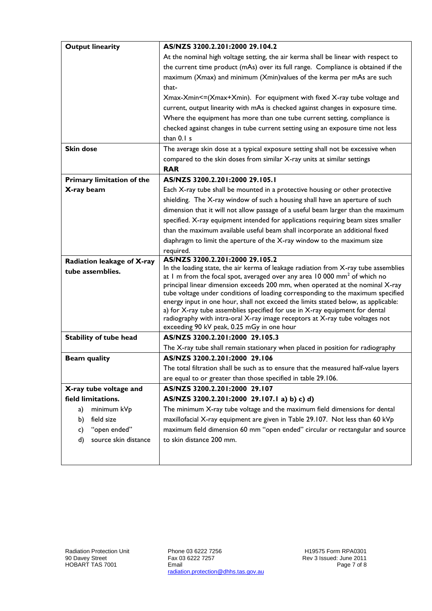| <b>Output linearity</b>          | AS/NZS 3200.2.201:2000 29.104.2                                                                                                                                              |
|----------------------------------|------------------------------------------------------------------------------------------------------------------------------------------------------------------------------|
|                                  | At the nominal high voltage setting, the air kerma shall be linear with respect to                                                                                           |
|                                  | the current time product (mAs) over its full range. Compliance is obtained if the                                                                                            |
|                                  | maximum (Xmax) and minimum (Xmin)values of the kerma per mAs are such                                                                                                        |
|                                  | that-                                                                                                                                                                        |
|                                  | Xmax-Xmin<=(Xmax+Xmin). For equipment with fixed X-ray tube voltage and                                                                                                      |
|                                  | current, output linearity with mAs is checked against changes in exposure time.                                                                                              |
|                                  | Where the equipment has more than one tube current setting, compliance is                                                                                                    |
|                                  | checked against changes in tube current setting using an exposure time not less                                                                                              |
|                                  | than 0.1 s                                                                                                                                                                   |
| <b>Skin dose</b>                 | The average skin dose at a typical exposure setting shall not be excessive when                                                                                              |
|                                  | compared to the skin doses from similar X-ray units at similar settings                                                                                                      |
|                                  | <b>RAR</b>                                                                                                                                                                   |
| <b>Primary limitation of the</b> | AS/NZS 3200.2.201:2000 29.105.1                                                                                                                                              |
| X-ray beam                       | Each X-ray tube shall be mounted in a protective housing or other protective                                                                                                 |
|                                  | shielding. The X-ray window of such a housing shall have an aperture of such                                                                                                 |
|                                  | dimension that it will not allow passage of a useful beam larger than the maximum                                                                                            |
|                                  | specified. X-ray equipment intended for applications requiring beam sizes smaller                                                                                            |
|                                  | than the maximum available useful beam shall incorporate an additional fixed                                                                                                 |
|                                  | diaphragm to limit the aperture of the X-ray window to the maximum size                                                                                                      |
|                                  | required.                                                                                                                                                                    |
| Radiation leakage of X-ray       | AS/NZS 3200.2.201:2000 29.105.2                                                                                                                                              |
| tube assemblies.                 | In the loading state, the air kerma of leakage radiation from X-ray tube assemblies<br>at 1 m from the focal spot, averaged over any area 10 000 mm <sup>2</sup> of which no |
|                                  | principal linear dimension exceeds 200 mm, when operated at the nominal X-ray                                                                                                |
|                                  | tube voltage under conditions of loading corresponding to the maximum specified                                                                                              |
|                                  | energy input in one hour, shall not exceed the limits stated below, as applicable:                                                                                           |
|                                  | a) for X-ray tube assemblies specified for use in X-ray equipment for dental                                                                                                 |
|                                  | radiography with intra-oral X-ray image receptors at X-ray tube voltages not<br>exceeding 90 kV peak, 0.25 mGy in one hour                                                   |
| <b>Stability of tube head</b>    | AS/NZS 3200.2.201:2000 29.105.3                                                                                                                                              |
|                                  | The X-ray tube shall remain stationary when placed in position for radiography                                                                                               |
| <b>Beam quality</b>              | AS/NZS 3200.2.201:2000 29.106                                                                                                                                                |
|                                  | The total filtration shall be such as to ensure that the measured half-value layers                                                                                          |
|                                  | are equal to or greater than those specified in table 29.106.                                                                                                                |
| X-ray tube voltage and           | AS/NZS 3200.2.201:2000 29.107                                                                                                                                                |
| field limitations.               | AS/NZS 3200.2.201:2000 29.107.1 a) b) c) d)                                                                                                                                  |
| minimum kVp<br>a)                | The minimum X-ray tube voltage and the maximum field dimensions for dental                                                                                                   |
| field size<br>b)                 | maxillofacial X-ray equipment are given in Table 29.107. Not less than 60 kVp                                                                                                |
| "open ended"<br>c)               | maximum field dimension 60 mm "open ended" circular or rectangular and source                                                                                                |
| source skin distance<br>d)       | to skin distance 200 mm.                                                                                                                                                     |
|                                  |                                                                                                                                                                              |
|                                  |                                                                                                                                                                              |

Phone 03 6222 7256 Fax 03 6222 7257 Email radiation.protection@dhhs.tas.gov.au